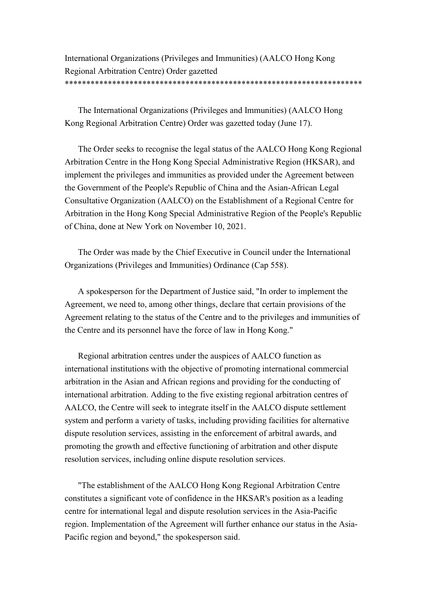International Organizations (Privileges and Immunities) (AALCO Hong Kong Regional Arbitration Centre) Order gazetted \*\*\*\*\*\*\*\*\*\*\*\*\*\*\*\*\*\*\*\*\*\*\*\*\*\*\*\*\*\*\*\*\*\*\*\*\*\*\*\*\*\*\*\*\*\*\*\*\*\*\*\*\*\*\*\*\*\*\*\*\*\*\*\*\*\*\*\*\*

The International Organizations (Privileges and Immunities) (AALCO Hong Kong Regional Arbitration Centre) Order was gazetted today (June 17).

The Order seeks to recognise the legal status of the AALCO Hong Kong Regional Arbitration Centre in the Hong Kong Special Administrative Region (HKSAR), and implement the privileges and immunities as provided under the Agreement between the Government of the People's Republic of China and the Asian-African Legal Consultative Organization (AALCO) on the Establishment of a Regional Centre for Arbitration in the Hong Kong Special Administrative Region of the People's Republic of China, done at New York on November 10, 2021.

The Order was made by the Chief Executive in Council under the International Organizations (Privileges and Immunities) Ordinance (Cap 558).

A spokesperson for the Department of Justice said, "In order to implement the Agreement, we need to, among other things, declare that certain provisions of the Agreement relating to the status of the Centre and to the privileges and immunities of the Centre and its personnel have the force of law in Hong Kong."

Regional arbitration centres under the auspices of AALCO function as international institutions with the objective of promoting international commercial arbitration in the Asian and African regions and providing for the conducting of international arbitration. Adding to the five existing regional arbitration centres of AALCO, the Centre will seek to integrate itself in the AALCO dispute settlement system and perform a variety of tasks, including providing facilities for alternative dispute resolution services, assisting in the enforcement of arbitral awards, and promoting the growth and effective functioning of arbitration and other dispute resolution services, including online dispute resolution services.

"The establishment of the AALCO Hong Kong Regional Arbitration Centre constitutes a significant vote of confidence in the HKSAR's position as a leading centre for international legal and dispute resolution services in the Asia-Pacific region. Implementation of the Agreement will further enhance our status in the Asia-Pacific region and beyond," the spokesperson said.